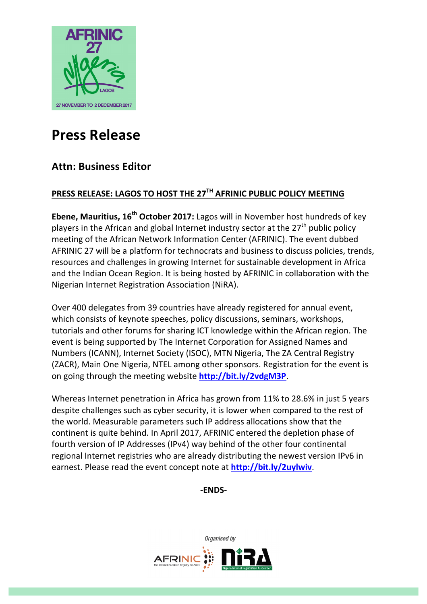

# **Press Release**

# **Attn: Business Editor**

# **PRESS RELEASE: LAGOS TO HOST THE 27TH AFRINIC PUBLIC POLICY MEETING**

**Ebene, Mauritius, 16<sup>th</sup> October 2017:** Lagos will in November host hundreds of key players in the African and global Internet industry sector at the  $27<sup>th</sup>$  public policy meeting of the African Network Information Center (AFRINIC). The event dubbed AFRINIC 27 will be a platform for technocrats and business to discuss policies, trends, resources and challenges in growing Internet for sustainable development in Africa and the Indian Ocean Region. It is being hosted by AFRINIC in collaboration with the Nigerian Internet Registration Association (NiRA).

Over 400 delegates from 39 countries have already registered for annual event, which consists of keynote speeches, policy discussions, seminars, workshops, tutorials and other forums for sharing ICT knowledge within the African region. The event is being supported by The Internet Corporation for Assigned Names and Numbers (ICANN), Internet Society (ISOC), MTN Nigeria, The ZA Central Registry (ZACR), Main One Nigeria, NTEL among other sponsors. Registration for the event is on going through the meeting website **http://bit.ly/2vdgM3P**.

Whereas Internet penetration in Africa has grown from 11% to 28.6% in just 5 years despite challenges such as cyber security, it is lower when compared to the rest of the world. Measurable parameters such IP address allocations show that the continent is quite behind. In April 2017, AFRINIC entered the depletion phase of fourth version of IP Addresses (IPv4) way behind of the other four continental regional Internet registries who are already distributing the newest version IPv6 in earnest. Please read the event concept note at **http://bit.ly/2uylwiv**.

**-ENDS-**